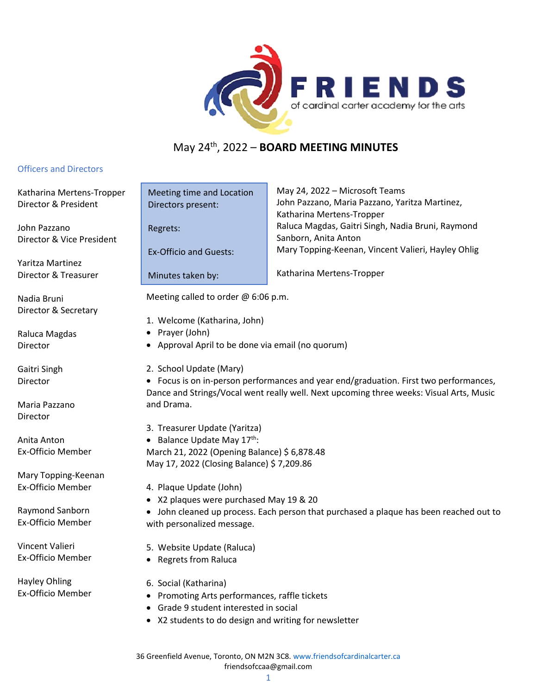

## May 24th, 2022 – **BOARD MEETING MINUTES**

## Officers and Directors

Katharina Mertens-Tropper Director & President

John Pazzano Director & Vice President

Yaritza Martinez Director & Treasurer

Nadia Bruni Director & Secretary

Raluca Magdas Director

Gaitri Singh Director

Maria Pazzano Director

Anita Anton Ex-Officio Member

Mary Topping‐Keenan Ex‐Officio Member

Raymond Sanborn Ex-Officio Member

Vincent Valieri Ex-Officio Member

Hayley Ohling Ex-Officio Member

May 24, 2022 – Microsoft Teams John Pazzano, Maria Pazzano, Yaritza Martinez, Katharina Mertens-Tropper Raluca Magdas, Gaitri Singh, Nadia Bruni, Raymond Sanborn, Anita Anton Mary Topping-Keenan, Vincent Valieri, Hayley Ohlig Meeting time and Location Ex-Officio and Guests:

Katharina Mertens-Tropper

Meeting called to order @ 6:06 p.m.

- 1. Welcome (Katharina, John)
- Prayer (John)

Directors present:

Minutes taken by:

Regrets:

- Approval April to be done via email (no quorum)
- 2. School Update (Mary)

• Focus is on in-person performances and year end/graduation. First two performances, Dance and Strings/Vocal went really well. Next upcoming three weeks: Visual Arts, Music and Drama.

- 3. Treasurer Update (Yaritza)
- Balance Update May  $17<sup>th</sup>$ : March 21, 2022 (Opening Balance) \$ 6,878.48 May 17, 2022 (Closing Balance) \$ 7,209.86
- 4. Plaque Update (John)
- X2 plaques were purchased May 19 & 20

• John cleaned up process. Each person that purchased a plaque has been reached out to with personalized message.

- 5. Website Update (Raluca)
- Regrets from Raluca
- 6. Social (Katharina)
- Promoting Arts performances, raffle tickets
- Grade 9 student interested in social
- X2 students to do design and writing for newsletter